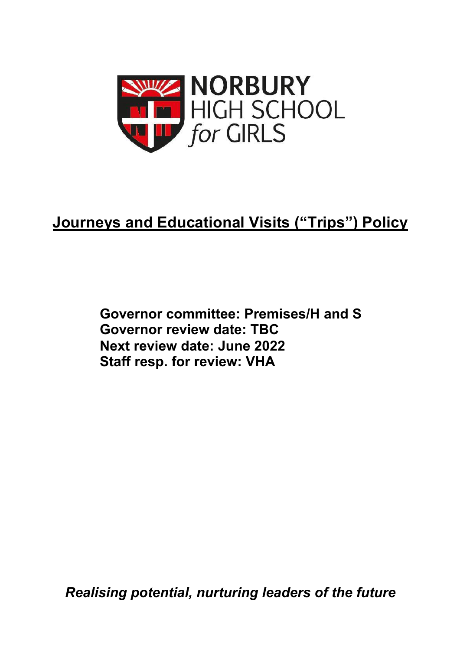

# **Journeys and Educational Visits ("Trips") Policy**

**Governor committee: Premises/H and S Governor review date: TBC Next review date: June 2022 Staff resp. for review: VHA**

*Realising potential, nurturing leaders of the future*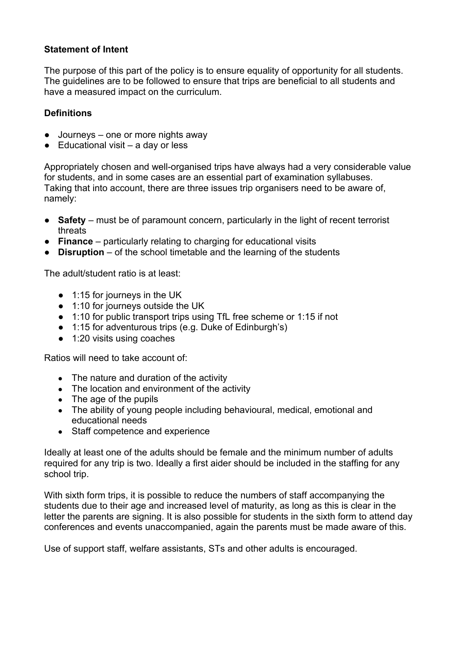#### **Statement of Intent**

The purpose of this part of the policy is to ensure equality of opportunity for all students. The guidelines are to be followed to ensure that trips are beneficial to all students and have a measured impact on the curriculum.

#### **Definitions**

- Journeys one or more nights away
- $\bullet$  Educational visit a day or less

Appropriately chosen and well-organised trips have always had a very considerable value for students, and in some cases are an essential part of examination syllabuses. Taking that into account, there are three issues trip organisers need to be aware of, namely:

- **Safety** must be of paramount concern, particularly in the light of recent terrorist threats
- **Finance** particularly relating to charging for educational visits
- **Disruption** of the school timetable and the learning of the students

The adult/student ratio is at least:

- 1:15 for journeys in the UK
- 1:10 for journeys outside the UK
- 1:10 for public transport trips using TfL free scheme or 1:15 if not
- 1:15 for adventurous trips (e.g. Duke of Edinburgh's)
- 1:20 visits using coaches

Ratios will need to take account of:

- The nature and duration of the activity
- The location and environment of the activity
- $\bullet$  The age of the pupils
- The ability of young people including behavioural, medical, emotional and educational needs
- Staff competence and experience

Ideally at least one of the adults should be female and the minimum number of adults required for any trip is two. Ideally a first aider should be included in the staffing for any school trip.

With sixth form trips, it is possible to reduce the numbers of staff accompanying the students due to their age and increased level of maturity, as long as this is clear in the letter the parents are signing. It is also possible for students in the sixth form to attend day conferences and events unaccompanied, again the parents must be made aware of this.

Use of support staff, welfare assistants, STs and other adults is encouraged.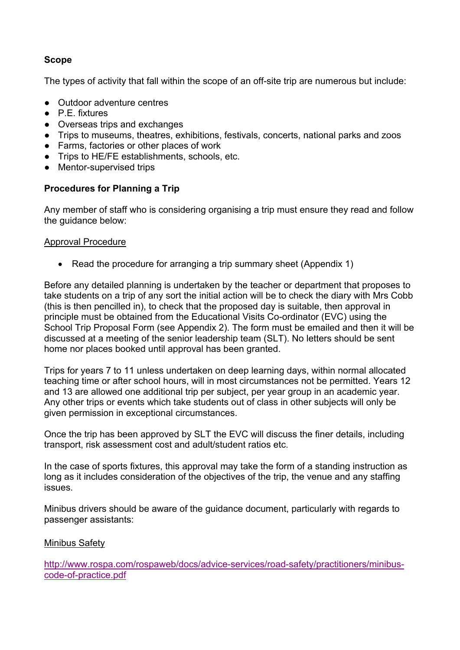#### **Scope**

The types of activity that fall within the scope of an off-site trip are numerous but include:

- Outdoor adventure centres
- P.E. fixtures
- Overseas trips and exchanges
- Trips to museums, theatres, exhibitions, festivals, concerts, national parks and zoos
- Farms, factories or other places of work
- Trips to HE/FE establishments, schools, etc.
- Mentor-supervised trips

#### **Procedures for Planning a Trip**

Any member of staff who is considering organising a trip must ensure they read and follow the guidance below:

#### Approval Procedure

• Read the procedure for arranging a trip summary sheet (Appendix 1)

Before any detailed planning is undertaken by the teacher or department that proposes to take students on a trip of any sort the initial action will be to check the diary with Mrs Cobb (this is then pencilled in), to check that the proposed day is suitable, then approval in principle must be obtained from the Educational Visits Co-ordinator (EVC) using the School Trip Proposal Form (see Appendix 2). The form must be emailed and then it will be discussed at a meeting of the senior leadership team (SLT). No letters should be sent home nor places booked until approval has been granted.

Trips for years 7 to 11 unless undertaken on deep learning days, within normal allocated teaching time or after school hours, will in most circumstances not be permitted. Years 12 and 13 are allowed one additional trip per subject, per year group in an academic year. Any other trips or events which take students out of class in other subjects will only be given permission in exceptional circumstances.

Once the trip has been approved by SLT the EVC will discuss the finer details, including transport, risk assessment cost and adult/student ratios etc.

In the case of sports fixtures, this approval may take the form of a standing instruction as long as it includes consideration of the objectives of the trip, the venue and any staffing issues.

Minibus drivers should be aware of the guidance document, particularly with regards to passenger assistants:

#### Minibus Safety

http://www.rospa.com/rospaweb/docs/advice-services/road-safety/practitioners/minibuscode-of-practice.pdf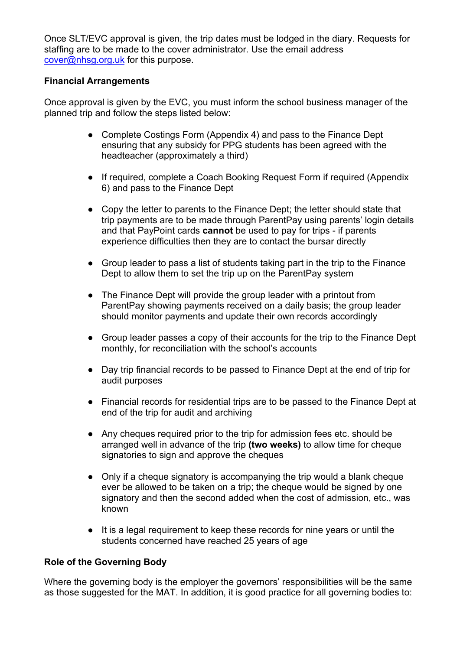Once SLT/EVC approval is given, the trip dates must be lodged in the diary. Requests for staffing are to be made to the cover administrator. Use the email address cover@nhsg.org.uk for this purpose.

#### **Financial Arrangements**

Once approval is given by the EVC, you must inform the school business manager of the planned trip and follow the steps listed below:

- Complete Costings Form (Appendix 4) and pass to the Finance Dept ensuring that any subsidy for PPG students has been agreed with the headteacher (approximately a third)
- If required, complete a Coach Booking Request Form if required (Appendix 6) and pass to the Finance Dept
- Copy the letter to parents to the Finance Dept; the letter should state that trip payments are to be made through ParentPay using parents' login details and that PayPoint cards **cannot** be used to pay for trips - if parents experience difficulties then they are to contact the bursar directly
- Group leader to pass a list of students taking part in the trip to the Finance Dept to allow them to set the trip up on the ParentPay system
- The Finance Dept will provide the group leader with a printout from ParentPay showing payments received on a daily basis; the group leader should monitor payments and update their own records accordingly
- Group leader passes a copy of their accounts for the trip to the Finance Dept monthly, for reconciliation with the school's accounts
- Day trip financial records to be passed to Finance Dept at the end of trip for audit purposes
- Financial records for residential trips are to be passed to the Finance Dept at end of the trip for audit and archiving
- Any cheques required prior to the trip for admission fees etc. should be arranged well in advance of the trip **(two weeks)** to allow time for cheque signatories to sign and approve the cheques
- Only if a cheque signatory is accompanying the trip would a blank cheque ever be allowed to be taken on a trip; the cheque would be signed by one signatory and then the second added when the cost of admission, etc., was known
- It is a legal requirement to keep these records for nine years or until the students concerned have reached 25 years of age

#### **Role of the Governing Body**

Where the governing body is the employer the governors' responsibilities will be the same as those suggested for the MAT. In addition, it is good practice for all governing bodies to: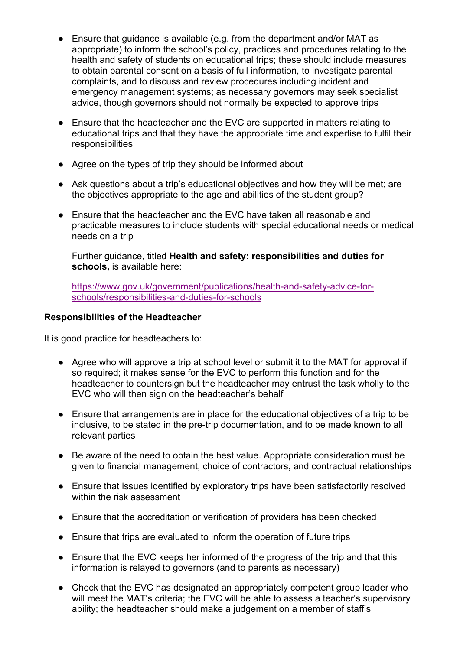- Ensure that guidance is available (e.g. from the department and/or MAT as appropriate) to inform the school's policy, practices and procedures relating to the health and safety of students on educational trips; these should include measures to obtain parental consent on a basis of full information, to investigate parental complaints, and to discuss and review procedures including incident and emergency management systems; as necessary governors may seek specialist advice, though governors should not normally be expected to approve trips
- Ensure that the headteacher and the EVC are supported in matters relating to educational trips and that they have the appropriate time and expertise to fulfil their **responsibilities**
- Agree on the types of trip they should be informed about
- Ask questions about a trip's educational objectives and how they will be met; are the objectives appropriate to the age and abilities of the student group?
- Ensure that the headteacher and the EVC have taken all reasonable and practicable measures to include students with special educational needs or medical needs on a trip

Further guidance, titled **Health and safety: responsibilities and duties for schools,** is available here:

https://www.gov.uk/government/publications/health-and-safety-advice-forschools/responsibilities-and-duties-for-schools

#### **Responsibilities of the Headteacher**

It is good practice for headteachers to:

- Agree who will approve a trip at school level or submit it to the MAT for approval if so required; it makes sense for the EVC to perform this function and for the headteacher to countersign but the headteacher may entrust the task wholly to the EVC who will then sign on the headteacher's behalf
- Ensure that arrangements are in place for the educational objectives of a trip to be inclusive, to be stated in the pre-trip documentation, and to be made known to all relevant parties
- Be aware of the need to obtain the best value. Appropriate consideration must be given to financial management, choice of contractors, and contractual relationships
- Ensure that issues identified by exploratory trips have been satisfactorily resolved within the risk assessment
- Ensure that the accreditation or verification of providers has been checked
- Ensure that trips are evaluated to inform the operation of future trips
- Ensure that the EVC keeps her informed of the progress of the trip and that this information is relayed to governors (and to parents as necessary)
- Check that the EVC has designated an appropriately competent group leader who will meet the MAT's criteria; the EVC will be able to assess a teacher's supervisory ability; the headteacher should make a judgement on a member of staff's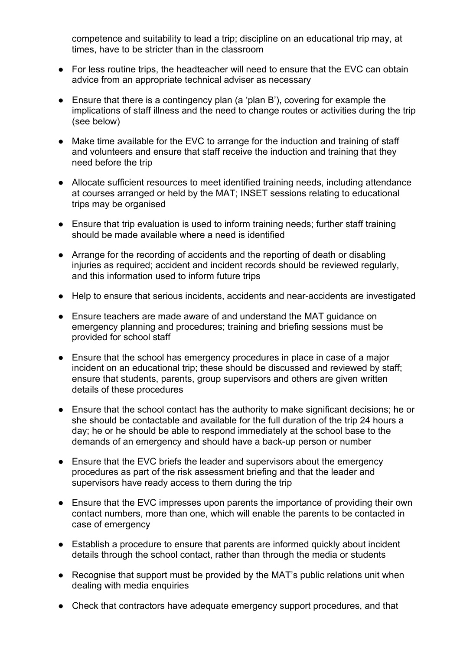competence and suitability to lead a trip; discipline on an educational trip may, at times, have to be stricter than in the classroom

- For less routine trips, the headteacher will need to ensure that the EVC can obtain advice from an appropriate technical adviser as necessary
- Ensure that there is a contingency plan (a 'plan B'), covering for example the implications of staff illness and the need to change routes or activities during the trip (see below)
- Make time available for the EVC to arrange for the induction and training of staff and volunteers and ensure that staff receive the induction and training that they need before the trip
- Allocate sufficient resources to meet identified training needs, including attendance at courses arranged or held by the MAT; INSET sessions relating to educational trips may be organised
- Ensure that trip evaluation is used to inform training needs; further staff training should be made available where a need is identified
- Arrange for the recording of accidents and the reporting of death or disabling injuries as required; accident and incident records should be reviewed regularly, and this information used to inform future trips
- Help to ensure that serious incidents, accidents and near-accidents are investigated
- Ensure teachers are made aware of and understand the MAT guidance on emergency planning and procedures; training and briefing sessions must be provided for school staff
- Ensure that the school has emergency procedures in place in case of a major incident on an educational trip; these should be discussed and reviewed by staff; ensure that students, parents, group supervisors and others are given written details of these procedures
- Ensure that the school contact has the authority to make significant decisions; he or she should be contactable and available for the full duration of the trip 24 hours a day; he or he should be able to respond immediately at the school base to the demands of an emergency and should have a back-up person or number
- Ensure that the EVC briefs the leader and supervisors about the emergency procedures as part of the risk assessment briefing and that the leader and supervisors have ready access to them during the trip
- Ensure that the EVC impresses upon parents the importance of providing their own contact numbers, more than one, which will enable the parents to be contacted in case of emergency
- Establish a procedure to ensure that parents are informed quickly about incident details through the school contact, rather than through the media or students
- Recognise that support must be provided by the MAT's public relations unit when dealing with media enquiries
- Check that contractors have adequate emergency support procedures, and that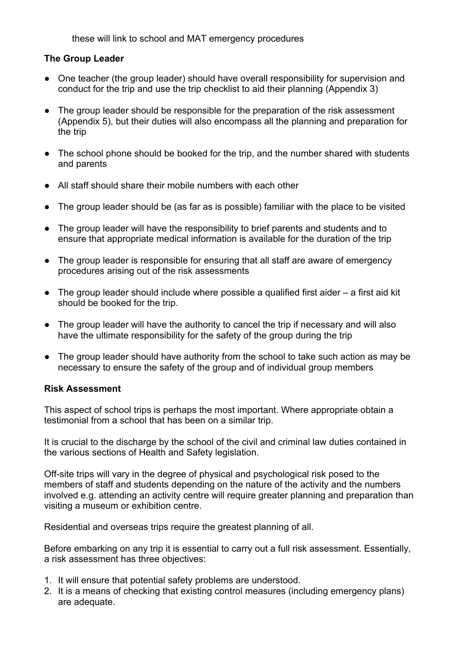these will link to school and MAT emergency procedures

#### **The Group Leader**

- One teacher (the group leader) should have overall responsibility for supervision and conduct for the trip and use the trip checklist to aid their planning (Appendix 3)
- The group leader should be responsible for the preparation of the risk assessment (Appendix 5), but their duties will also encompass all the planning and preparation for the trip
- The school phone should be booked for the trip, and the number shared with students and parents
- All staff should share their mobile numbers with each other
- The group leader should be (as far as is possible) familiar with the place to be visited
- The group leader will have the responsibility to brief parents and students and to ensure that appropriate medical information is available for the duration of the trip
- The group leader is responsible for ensuring that all staff are aware of emergency procedures arising out of the risk assessments
- $\bullet$  The group leader should include where possible a qualified first aider  $-$  a first aid kit should be booked for the trip.
- The group leader will have the authority to cancel the trip if necessary and will also have the ultimate responsibility for the safety of the group during the trip
- The group leader should have authority from the school to take such action as may be necessary to ensure the safety of the group and of individual group members

#### **Risk Assessment**

This aspect of school trips is perhaps the most important. Where appropriate obtain a testimonial from a school that has been on a similar trip.

It is crucial to the discharge by the school of the civil and criminal law duties contained in the various sections of Health and Safety legislation.

Off-site trips will vary in the degree of physical and psychological risk posed to the members of staff and students depending on the nature of the activity and the numbers involved e.g. attending an activity centre will require greater planning and preparation than visiting a museum or exhibition centre.

Residential and overseas trips require the greatest planning of all.

Before embarking on any trip it is essential to carry out a full risk assessment. Essentially, a risk assessment has three objectives:

- 1. It will ensure that potential safety problems are understood.
- 2. It is a means of checking that existing control measures (including emergency plans) are adequate.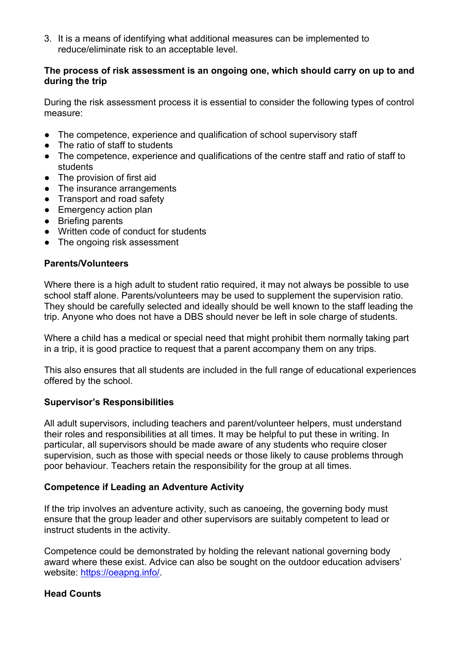3. It is a means of identifying what additional measures can be implemented to reduce/eliminate risk to an acceptable level.

#### **The process of risk assessment is an ongoing one, which should carry on up to and during the trip**

During the risk assessment process it is essential to consider the following types of control measure:

- The competence, experience and qualification of school supervisory staff
- The ratio of staff to students
- The competence, experience and qualifications of the centre staff and ratio of staff to students
- The provision of first aid
- The insurance arrangements
- Transport and road safety
- Emergency action plan
- Briefing parents
- Written code of conduct for students
- The ongoing risk assessment

#### **Parents/Volunteers**

Where there is a high adult to student ratio required, it may not always be possible to use school staff alone. Parents/volunteers may be used to supplement the supervision ratio. They should be carefully selected and ideally should be well known to the staff leading the trip. Anyone who does not have a DBS should never be left in sole charge of students.

Where a child has a medical or special need that might prohibit them normally taking part in a trip, it is good practice to request that a parent accompany them on any trips.

This also ensures that all students are included in the full range of educational experiences offered by the school.

#### **Supervisor's Responsibilities**

All adult supervisors, including teachers and parent/volunteer helpers, must understand their roles and responsibilities at all times. It may be helpful to put these in writing. In particular, all supervisors should be made aware of any students who require closer supervision, such as those with special needs or those likely to cause problems through poor behaviour. Teachers retain the responsibility for the group at all times.

#### **Competence if Leading an Adventure Activity**

If the trip involves an adventure activity, such as canoeing, the governing body must ensure that the group leader and other supervisors are suitably competent to lead or instruct students in the activity.

Competence could be demonstrated by holding the relevant national governing body award where these exist. Advice can also be sought on the outdoor education advisers' website: https://oeapng.info/.

#### **Head Counts**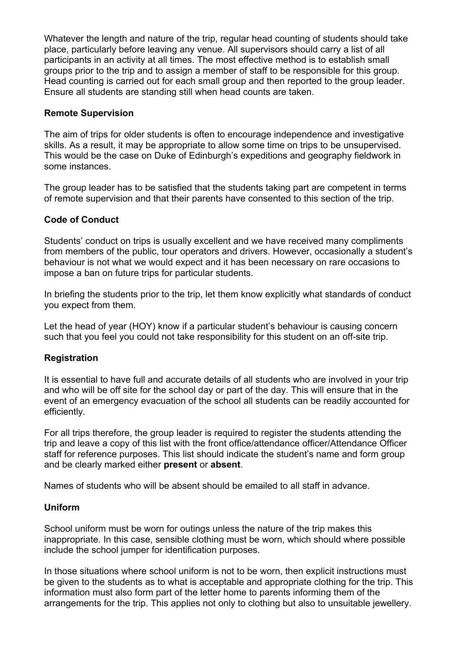Whatever the length and nature of the trip, regular head counting of students should take place, particularly before leaving any venue. All supervisors should carry a list of all participants in an activity at all times. The most effective method is to establish small groups prior to the trip and to assign a member of staff to be responsible for this group. Head counting is carried out for each small group and then reported to the group leader. Ensure all students are standing still when head counts are taken.

#### **Remote Supervision**

The aim of trips for older students is often to encourage independence and investigative skills. As a result, it may be appropriate to allow some time on trips to be unsupervised. This would be the case on Duke of Edinburgh's expeditions and geography fieldwork in some instances.

The group leader has to be satisfied that the students taking part are competent in terms of remote supervision and that their parents have consented to this section of the trip.

#### **Code of Conduct**

Students' conduct on trips is usually excellent and we have received many compliments from members of the public, tour operators and drivers. However, occasionally a student's behaviour is not what we would expect and it has been necessary on rare occasions to impose a ban on future trips for particular students.

In briefing the students prior to the trip, let them know explicitly what standards of conduct you expect from them.

Let the head of year (HOY) know if a particular student's behaviour is causing concern such that you feel you could not take responsibility for this student on an off-site trip.

#### **Registration**

It is essential to have full and accurate details of all students who are involved in your trip and who will be off site for the school day or part of the day. This will ensure that in the event of an emergency evacuation of the school all students can be readily accounted for efficiently.

For all trips therefore, the group leader is required to register the students attending the trip and leave a copy of this list with the front office/attendance officer/Attendance Officer staff for reference purposes. This list should indicate the student's name and form group and be clearly marked either **present** or **absent**.

Names of students who will be absent should be emailed to all staff in advance.

#### **Uniform**

School uniform must be worn for outings unless the nature of the trip makes this inappropriate. In this case, sensible clothing must be worn, which should where possible include the school jumper for identification purposes.

In those situations where school uniform is not to be worn, then explicit instructions must be given to the students as to what is acceptable and appropriate clothing for the trip. This information must also form part of the letter home to parents informing them of the arrangements for the trip. This applies not only to clothing but also to unsuitable jewellery.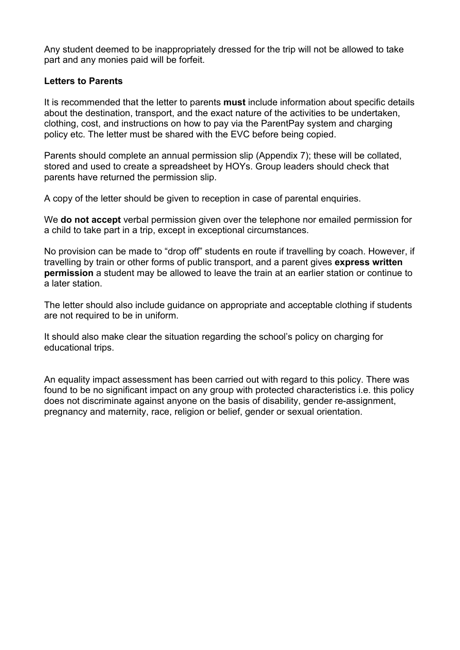Any student deemed to be inappropriately dressed for the trip will not be allowed to take part and any monies paid will be forfeit.

#### **Letters to Parents**

It is recommended that the letter to parents **must** include information about specific details about the destination, transport, and the exact nature of the activities to be undertaken, clothing, cost, and instructions on how to pay via the ParentPay system and charging policy etc. The letter must be shared with the EVC before being copied.

Parents should complete an annual permission slip (Appendix 7); these will be collated, stored and used to create a spreadsheet by HOYs. Group leaders should check that parents have returned the permission slip.

A copy of the letter should be given to reception in case of parental enquiries.

We **do not accept** verbal permission given over the telephone nor emailed permission for a child to take part in a trip, except in exceptional circumstances.

No provision can be made to "drop off" students en route if travelling by coach. However, if travelling by train or other forms of public transport, and a parent gives **express written permission** a student may be allowed to leave the train at an earlier station or continue to a later station.

The letter should also include guidance on appropriate and acceptable clothing if students are not required to be in uniform.

It should also make clear the situation regarding the school's policy on charging for educational trips.

An equality impact assessment has been carried out with regard to this policy. There was found to be no significant impact on any group with protected characteristics i.e. this policy does not discriminate against anyone on the basis of disability, gender re-assignment, pregnancy and maternity, race, religion or belief, gender or sexual orientation.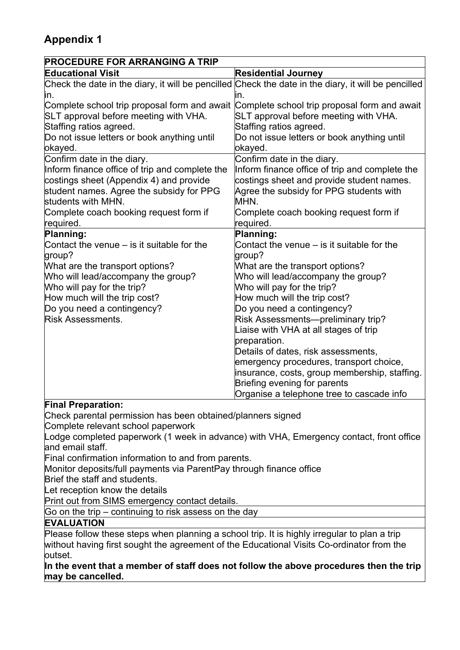| <b>PROCEDURE FOR ARRANGING A TRIP</b>                                                     |                                                                                                            |
|-------------------------------------------------------------------------------------------|------------------------------------------------------------------------------------------------------------|
| <b>Educational Visit</b>                                                                  | <b>Residential Journey</b>                                                                                 |
| in.                                                                                       | Check the date in the diary, it will be pencilled Check the date in the diary, it will be pencilled<br>ın. |
| Complete school trip proposal form and await Complete school trip proposal form and await |                                                                                                            |
| SLT approval before meeting with VHA.                                                     | SLT approval before meeting with VHA.                                                                      |
| Staffing ratios agreed.                                                                   | Staffing ratios agreed.                                                                                    |
| Do not issue letters or book anything until                                               | Do not issue letters or book anything until                                                                |
| okayed.                                                                                   | okayed.                                                                                                    |
| Confirm date in the diary.                                                                | Confirm date in the diary.                                                                                 |
| Inform finance office of trip and complete the                                            | Inform finance office of trip and complete the                                                             |
| costings sheet (Appendix 4) and provide                                                   | costings sheet and provide student names.                                                                  |
| student names. Agree the subsidy for PPG                                                  | Agree the subsidy for PPG students with                                                                    |
| students with MHN.                                                                        | MHN.                                                                                                       |
| Complete coach booking request form if                                                    | Complete coach booking request form if                                                                     |
| required.                                                                                 | required.                                                                                                  |
| Planning:                                                                                 | Planning:                                                                                                  |
| Contact the venue $-$ is it suitable for the                                              | Contact the venue $-$ is it suitable for the                                                               |
| group?                                                                                    | group?                                                                                                     |
| What are the transport options?                                                           | What are the transport options?                                                                            |
| Who will lead/accompany the group?                                                        | Who will lead/accompany the group?                                                                         |
| Who will pay for the trip?                                                                | Who will pay for the trip?                                                                                 |
| How much will the trip cost?                                                              | How much will the trip cost?                                                                               |
| Do you need a contingency?                                                                | Do you need a contingency?                                                                                 |
| <b>Risk Assessments.</b>                                                                  | Risk Assessments-preliminary trip?                                                                         |
|                                                                                           | Liaise with VHA at all stages of trip                                                                      |
|                                                                                           | preparation.                                                                                               |
|                                                                                           | Details of dates, risk assessments,                                                                        |
|                                                                                           | emergency procedures, transport choice,                                                                    |
|                                                                                           | insurance, costs, group membership, staffing.                                                              |
|                                                                                           | Briefing evening for parents                                                                               |
|                                                                                           | Organise a telephone tree to cascade info                                                                  |

#### **Final Preparation:**

Check parental permission has been obtained/planners signed Complete relevant school paperwork

Lodge completed paperwork (1 week in advance) with VHA, Emergency contact, front office and email staff.

Final confirmation information to and from parents.

Monitor deposits/full payments via ParentPay through finance office

Brief the staff and students.

Let reception know the details

Print out from SIMS emergency contact details.

Go on the trip – continuing to risk assess on the day

#### **EVALUATION**

Please follow these steps when planning a school trip. It is highly irregular to plan a trip without having first sought the agreement of the Educational Visits Co-ordinator from the outset.

**In the event that a member of staff does not follow the above procedures then the trip may be cancelled.**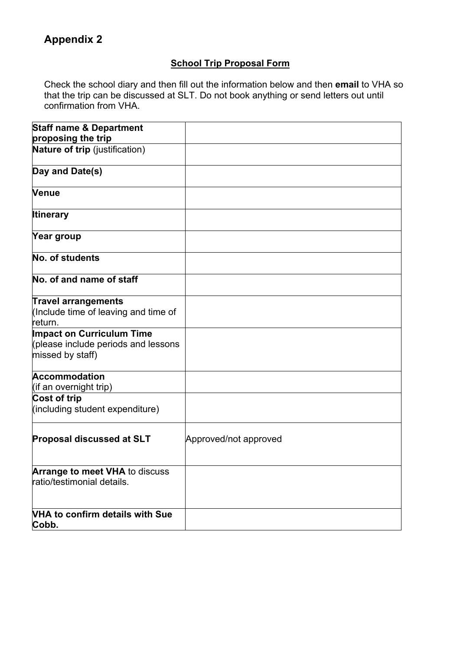#### **School Trip Proposal Form**

Check the school diary and then fill out the information below and then **email** to VHA so that the trip can be discussed at SLT. Do not book anything or send letters out until confirmation from VHA.

| <b>Staff name &amp; Department</b>                                                          |                       |
|---------------------------------------------------------------------------------------------|-----------------------|
| proposing the trip<br>Nature of trip (justification)                                        |                       |
| Day and Date(s)                                                                             |                       |
|                                                                                             |                       |
| <b>Venue</b>                                                                                |                       |
| <b>Itinerary</b>                                                                            |                       |
| Year group                                                                                  |                       |
| No. of students                                                                             |                       |
| No. of and name of staff                                                                    |                       |
| <b>Travel arrangements</b><br>(Include time of leaving and time of<br>return.               |                       |
| <b>Impact on Curriculum Time</b><br>(please include periods and lessons<br>missed by staff) |                       |
| <b>Accommodation</b><br>(if an overnight trip)                                              |                       |
| Cost of trip<br>(including student expenditure)                                             |                       |
| <b>Proposal discussed at SLT</b>                                                            | Approved/not approved |
| <b>Arrange to meet VHA to discuss</b><br>ratio/testimonial details.                         |                       |
| <b>VHA to confirm details with Sue</b><br>Cobb.                                             |                       |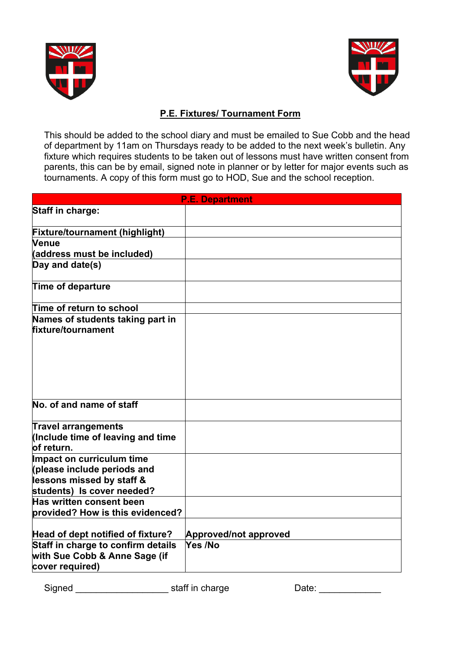



#### **P.E. Fixtures/ Tournament Form**

This should be added to the school diary and must be emailed to Sue Cobb and the head of department by 11am on Thursdays ready to be added to the next week's bulletin. Any fixture which requires students to be taken out of lessons must have written consent from parents, this can be by email, signed note in planner or by letter for major events such as tournaments. A copy of this form must go to HOD, Sue and the school reception.

| <b>P.E. Department</b>                |                              |
|---------------------------------------|------------------------------|
| <b>Staff in charge:</b>               |                              |
|                                       |                              |
| <b>Fixture/tournament (highlight)</b> |                              |
| Venue                                 |                              |
| (address must be included)            |                              |
| Day and date(s)                       |                              |
| Time of departure                     |                              |
| Time of return to school              |                              |
| Names of students taking part in      |                              |
| fixture/tournament                    |                              |
|                                       |                              |
|                                       |                              |
|                                       |                              |
|                                       |                              |
|                                       |                              |
|                                       |                              |
| No. of and name of staff              |                              |
| <b>Travel arrangements</b>            |                              |
| (Include time of leaving and time     |                              |
| of return.                            |                              |
| Impact on curriculum time             |                              |
| please include periods and            |                              |
| lessons missed by staff &             |                              |
| students) Is cover needed?            |                              |
| Has written consent been              |                              |
| provided? How is this evidenced?      |                              |
|                                       |                              |
| Head of dept notified of fixture?     | <b>Approved/not approved</b> |
| Staff in charge to confirm details    | Yes /No                      |
| with Sue Cobb & Anne Sage (if         |                              |
| cover required)                       |                              |

Signed Signed Signed Signed Signed Signed Signed Staff in charge  $\sim$ 

| Date: |
|-------|
|       |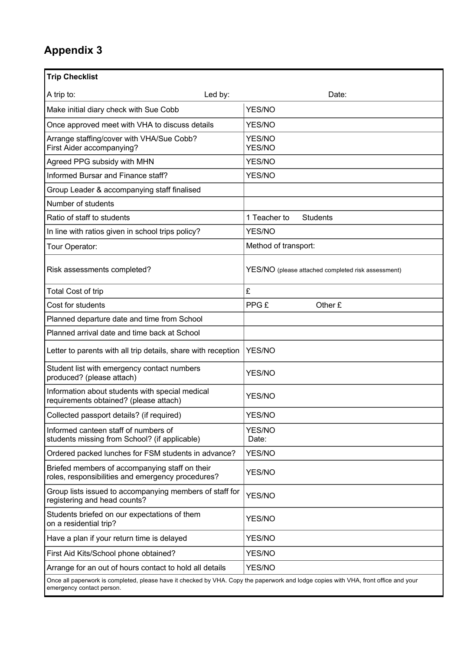| <b>Trip Checklist</b>                                                                                                                                            |                                                    |
|------------------------------------------------------------------------------------------------------------------------------------------------------------------|----------------------------------------------------|
| Led by:<br>A trip to:                                                                                                                                            | Date:                                              |
| Make initial diary check with Sue Cobb                                                                                                                           | <b>YES/NO</b>                                      |
| Once approved meet with VHA to discuss details                                                                                                                   | YES/NO                                             |
| Arrange staffing/cover with VHA/Sue Cobb?<br>First Aider accompanying?                                                                                           | YES/NO<br>YES/NO                                   |
| Agreed PPG subsidy with MHN                                                                                                                                      | YES/NO                                             |
| Informed Bursar and Finance staff?                                                                                                                               | YES/NO                                             |
| Group Leader & accompanying staff finalised                                                                                                                      |                                                    |
| Number of students                                                                                                                                               |                                                    |
| Ratio of staff to students                                                                                                                                       | 1 Teacher to<br><b>Students</b>                    |
| In line with ratios given in school trips policy?                                                                                                                | YES/NO                                             |
| Tour Operator:                                                                                                                                                   | Method of transport:                               |
| Risk assessments completed?                                                                                                                                      | YES/NO (please attached completed risk assessment) |
| Total Cost of trip                                                                                                                                               | £                                                  |
| Cost for students                                                                                                                                                | PPG £<br>Other £                                   |
| Planned departure date and time from School                                                                                                                      |                                                    |
| Planned arrival date and time back at School                                                                                                                     |                                                    |
| Letter to parents with all trip details, share with reception                                                                                                    | YES/NO                                             |
| Student list with emergency contact numbers<br>produced? (please attach)                                                                                         | <b>YES/NO</b>                                      |
| Information about students with special medical<br>requirements obtained? (please attach)                                                                        | <b>YES/NO</b>                                      |
| Collected passport details? (if required)                                                                                                                        | YES/NO                                             |
| Informed canteen staff of numbers of<br>students missing from School? (if applicable)                                                                            | YES/NO<br>Date:                                    |
| Ordered packed lunches for FSM students in advance?                                                                                                              | YES/NO                                             |
| Briefed members of accompanying staff on their<br>roles, responsibilities and emergency procedures?                                                              | YES/NO                                             |
| Group lists issued to accompanying members of staff for<br>registering and head counts?                                                                          | YES/NO                                             |
| Students briefed on our expectations of them<br>on a residential trip?                                                                                           | YES/NO                                             |
| Have a plan if your return time is delayed                                                                                                                       | YES/NO                                             |
| First Aid Kits/School phone obtained?                                                                                                                            | YES/NO                                             |
| Arrange for an out of hours contact to hold all details                                                                                                          | YES/NO                                             |
| Once all paperwork is completed, please have it checked by VHA. Copy the paperwork and lodge copies with VHA, front office and your<br>emergency contact person. |                                                    |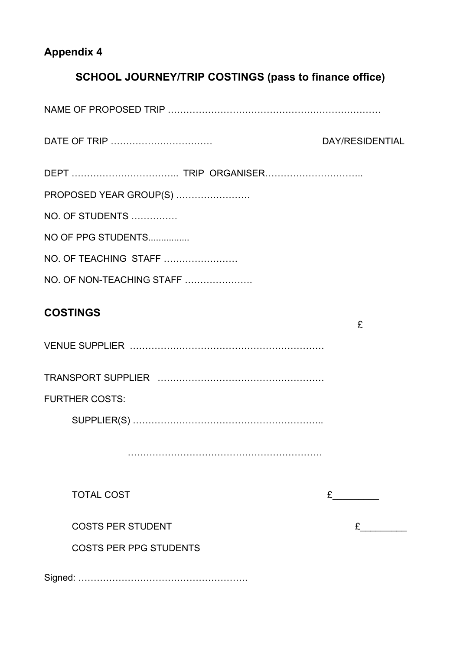### **SCHOOL JOURNEY/TRIP COSTINGS (pass to finance office)**

| DATE OF TRIP                  | DAY/RESIDENTIAL |
|-------------------------------|-----------------|
|                               |                 |
| PROPOSED YEAR GROUP(S)        |                 |
| NO. OF STUDENTS               |                 |
| NO OF PPG STUDENTS            |                 |
| NO. OF TEACHING STAFF         |                 |
| NO. OF NON-TEACHING STAFF     |                 |
| <b>COSTINGS</b>               | £               |
|                               |                 |
|                               |                 |
| <b>FURTHER COSTS:</b>         |                 |
|                               |                 |
|                               |                 |
| <b>TOTAL COST</b>             |                 |
| <b>COSTS PER STUDENT</b>      |                 |
| <b>COSTS PER PPG STUDENTS</b> |                 |
|                               |                 |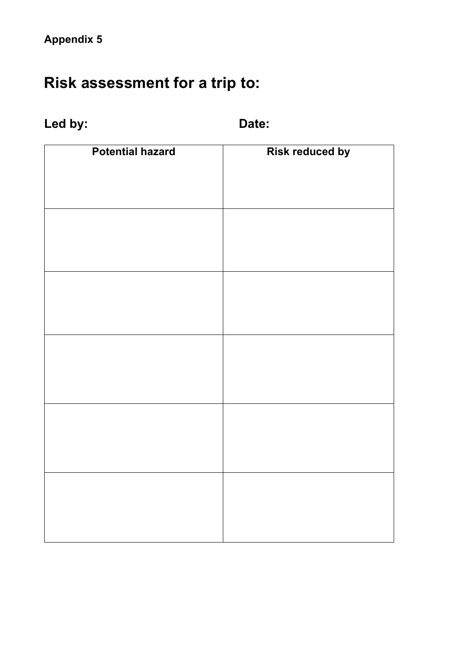# **Risk assessment for a trip to:**

## Led by: **Date:**

| <b>Potential hazard</b> | <b>Risk reduced by</b> |
|-------------------------|------------------------|
|                         |                        |
|                         |                        |
|                         |                        |
|                         |                        |
|                         |                        |
|                         |                        |
|                         |                        |
|                         |                        |
|                         |                        |
|                         |                        |
|                         |                        |
|                         |                        |
|                         |                        |
|                         |                        |
|                         |                        |
|                         |                        |
|                         |                        |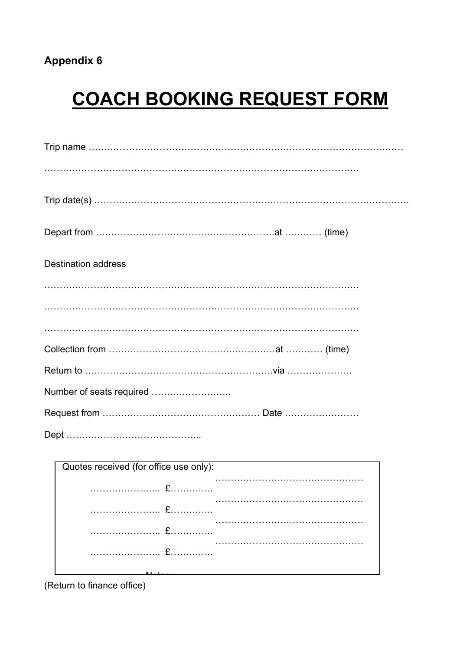# **COACH BOOKING REQUEST FORM**

| <b>Destination address</b> |
|----------------------------|
|                            |
|                            |
|                            |
|                            |
|                            |
|                            |
|                            |
|                            |

| Quotes received (for office use only):                                       |  |
|------------------------------------------------------------------------------|--|
|                                                                              |  |
| $f(x) = \begin{cases} \frac{1}{2} & x \neq 0 \\ 0 & x = 0 \end{cases}$       |  |
| $\mathbf{f}$ . The component of $\mathbf{f}$ . The component of $\mathbf{f}$ |  |
|                                                                              |  |
|                                                                              |  |

(Return to finance office)